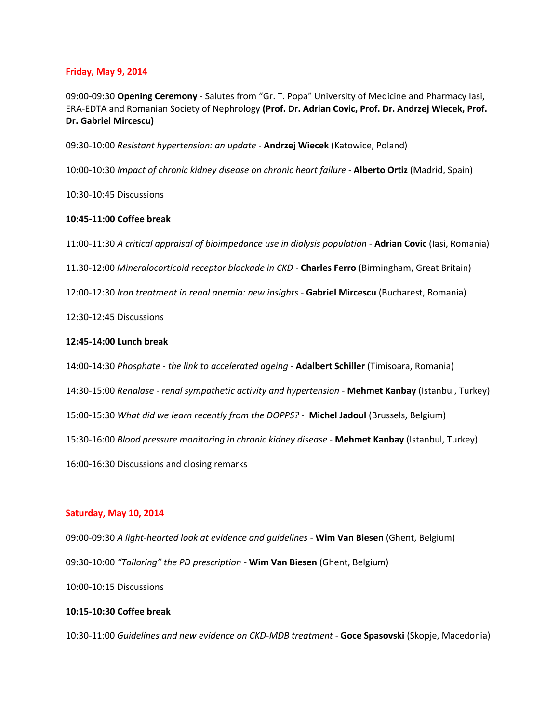## **Friday, May 9, 2014**

09:00-09:30 **Opening Ceremony** - Salutes from "Gr. T. Popa" University of Medicine and Pharmacy Iasi, ERA-EDTA and Romanian Society of Nephrology **(Prof. Dr. Adrian Covic, Prof. Dr. Andrzej Wiecek, Prof. Dr. Gabriel Mircescu)**

09:30-10:00 *Resistant hypertension: an update* - **Andrzej Wiecek** (Katowice, Poland)

10:00-10:30 *Impact of chronic kidney disease on chronic heart failure* - **Alberto Ortiz** (Madrid, Spain)

10:30-10:45 Discussions

## **10:45-11:00 Coffee break**

11:00-11:30 *A critical appraisal of bioimpedance use in dialysis population* - **Adrian Covic** (Iasi, Romania)

11.30-12:00 *Mineralocorticoid receptor blockade in CKD* - **Charles Ferro** (Birmingham, Great Britain)

12:00-12:30 *Iron treatment in renal anemia: new insights* - **Gabriel Mircescu** (Bucharest, Romania)

12:30-12:45 Discussions

## **12:45-14:00 Lunch break**

14:00-14:30 *Phosphate - the link to accelerated ageing* - **Adalbert Schiller** (Timisoara, Romania)

14:30-15:00 *Renalase - renal sympathetic activity and hypertension* - **Mehmet Kanbay** (Istanbul, Turkey)

15:00-15:30 *What did we learn recently from the DOPPS?* - **Michel Jadoul** (Brussels, Belgium)

15:30-16:00 *Blood pressure monitoring in chronic kidney disease* - **Mehmet Kanbay** (Istanbul, Turkey)

16:00-16:30 Discussions and closing remarks

#### **Saturday, May 10, 2014**

09:00-09:30 *A light-hearted look at evidence and guidelines* - **Wim Van Biesen** (Ghent, Belgium) 09:30-10:00 *"Tailoring" the PD prescription* - **Wim Van Biesen** (Ghent, Belgium)

10:00-10:15 Discussions

# **10:15-10:30 Coffee break**

10:30-11:00 *Guidelines and new evidence on CKD-MDB treatment* - **Goce Spasovski** (Skopje, Macedonia)